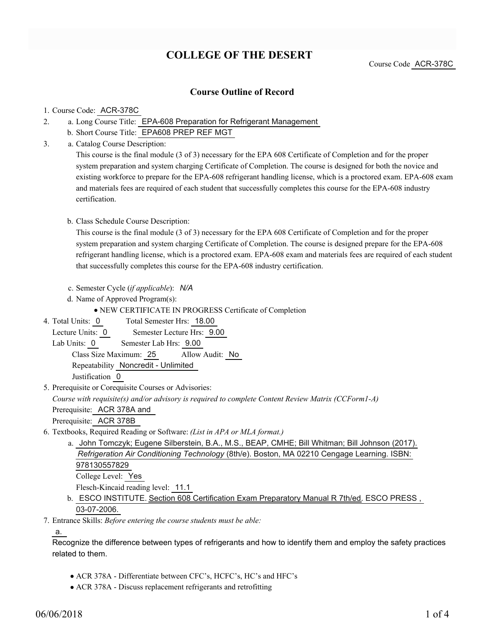# **COLLEGE OF THE DESERT**

Course Code ACR-378C

### **Course Outline of Record**

#### 1. Course Code: ACR-378C

- a. Long Course Title: EPA-608 Preparation for Refrigerant Management 2.
	- b. Short Course Title: EPA608 PREP REF MGT
- Catalog Course Description: a. 3.

This course is the final module (3 of 3) necessary for the EPA 608 Certificate of Completion and for the proper system preparation and system charging Certificate of Completion. The course is designed for both the novice and existing workforce to prepare for the EPA-608 refrigerant handling license, which is a proctored exam. EPA-608 exam and materials fees are required of each student that successfully completes this course for the EPA-608 industry certification.

#### b. Class Schedule Course Description:

This course is the final module (3 of 3) necessary for the EPA 608 Certificate of Completion and for the proper system preparation and system charging Certificate of Completion. The course is designed prepare for the EPA-608 refrigerant handling license, which is a proctored exam. EPA-608 exam and materials fees are required of each student that successfully completes this course for the EPA-608 industry certification.

- c. Semester Cycle (*if applicable*): *N/A*
- d. Name of Approved Program(s):

NEW CERTIFICATE IN PROGRESS Certificate of Completion

Total Semester Hrs: 18.00 4. Total Units: 0

Lecture Units: 0 Semester Lecture Hrs: 9.00

Lab Units: 0 Semester Lab Hrs: 9.00

Class Size Maximum: 25 Allow Audit: No

Repeatability Noncredit - Unlimited

Justification 0

5. Prerequisite or Corequisite Courses or Advisories:

*Course with requisite(s) and/or advisory is required to complete Content Review Matrix (CCForm1-A)*

Prerequisite: ACR 378A and

Prerequisite: ACR 378B

- Textbooks, Required Reading or Software: *(List in APA or MLA format.)* 6.
	- a. John Tomczyk; Eugene Silberstein, B.A., M.S., BEAP, CMHE; Bill Whitman; Bill Johnson (2017). *Refrigeration Air Conditioning Technology* (8th/e). Boston, MA 02210 Cengage Learning. ISBN: 978130557829 College Level: Yes

Flesch-Kincaid reading level: 11.1

- b. ESCO INSTITUTE. <u>Section 608 Certification Exam Preparatory Manual R 7th/ed</u>. ESCO PRESS, 03-07-2006.
- Entrance Skills: *Before entering the course students must be able:* 7.

a.

Recognize the difference between types of refrigerants and how to identify them and employ the safety practices related to them.

- ACR 378A Differentiate between CFC's, HCFC's, HC's and HFC's
- ACR 378A Discuss replacement refrigerants and retrofitting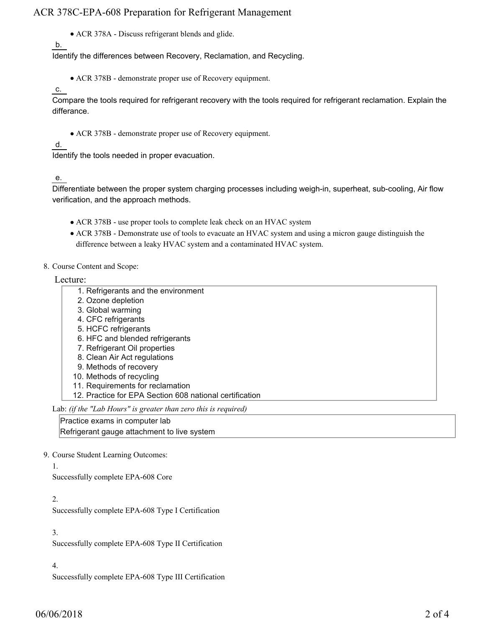## ACR 378C-EPA-608 Preparation for Refrigerant Management

ACR 378A - Discuss refrigerant blends and glide.

b.

Identify the differences between Recovery, Reclamation, and Recycling.

- ACR 378B demonstrate proper use of Recovery equipment.
- c.

Compare the tools required for refrigerant recovery with the tools required for refrigerant reclamation. Explain the differance.

ACR 378B - demonstrate proper use of Recovery equipment.

## d.

Identify the tools needed in proper evacuation.

## e.

Differentiate between the proper system charging processes including weigh-in, superheat, sub-cooling, Air flow verification, and the approach methods.

- ACR 378B use proper tools to complete leak check on an HVAC system
- ACR 378B Demonstrate use of tools to evacuate an HVAC system and using a micron gauge distinguish the difference between a leaky HVAC system and a contaminated HVAC system.
- 8. Course Content and Scope:

Lecture:

- 1. Refrigerants and the environment
- 2. Ozone depletion
- 3. Global warming
- 4. CFC refrigerants
- 5. HCFC refrigerants
- 6. HFC and blended refrigerants
- 7. Refrigerant Oil properties
- 8. Clean Air Act regulations
- 9. Methods of recovery
- 10. Methods of recycling
- 11. Requirements for reclamation
- 12. Practice for EPA Section 608 national certification

Lab: *(if the "Lab Hours" is greater than zero this is required)*

Practice exams in computer lab

Refrigerant gauge attachment to live system

### 9. Course Student Learning Outcomes:

1.

Successfully complete EPA-608 Core

#### 2.

Successfully complete EPA-608 Type I Certification

3.

Successfully complete EPA-608 Type II Certification

4.

Successfully complete EPA-608 Type III Certification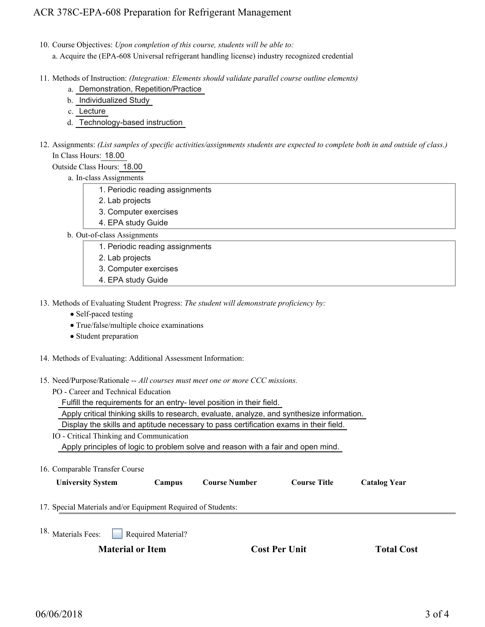## ACR 378C-EPA-608 Preparation for Refrigerant Management

10. Course Objectives: Upon completion of this course, students will be able to:

a. Acquire the (EPA-608 Universal refrigerant handling license) industry recognized credential

- Methods of Instruction: *(Integration: Elements should validate parallel course outline elements)* 11.
	- a. Demonstration, Repetition/Practice
	- b. Individualized Study
	- c. Lecture
	- d. Technology-based instruction
- 12. Assignments: (List samples of specific activities/assignments students are expected to complete both in and outside of class.) In Class Hours: 18.00

Outside Class Hours: 18.00

a. In-class Assignments

- 1. Periodic reading assignments
- 2. Lab projects
- 3. Computer exercises
- 4. EPA study Guide

b. Out-of-class Assignments

- 1. Periodic reading assignments
- 2. Lab projects
- 3. Computer exercises
- 4. EPA study Guide

13. Methods of Evaluating Student Progress: The student will demonstrate proficiency by:

- Self-paced testing
- True/false/multiple choice examinations
- Student preparation
- 14. Methods of Evaluating: Additional Assessment Information:
- 15. Need/Purpose/Rationale -- All courses must meet one or more CCC missions.
	- PO Career and Technical Education

Fulfill the requirements for an entry- level position in their field.

Apply critical thinking skills to research, evaluate, analyze, and synthesize information.

Display the skills and aptitude necessary to pass certification exams in their field.

- IO Critical Thinking and Communication Apply principles of logic to problem solve and reason with a fair and open mind.
- 16. Comparable Transfer Course

| <b>University System</b> |
|--------------------------|
|                          |

**Campus Course Number Course Title Catalog Year** 

- 17. Special Materials and/or Equipment Required of Students:
- Required Material? <sup>18.</sup> Materials Fees:

**Material or Item Cost Per Unit Total Cost** 

|  | <b>Cost Per Unit</b> |  |  |
|--|----------------------|--|--|
|--|----------------------|--|--|